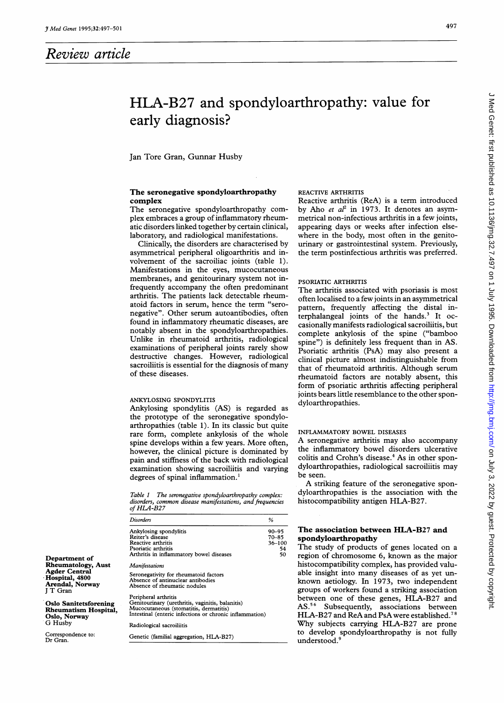# Review article

# HLA-B27 and spondyloarthropathy: value for early diagnosis?

Jan Tore Gran, Gunnar Husby

## The seronegative spondyloarthropathy complex

The seronegative spondyloarthropathy complex embraces a group of inflammatory rheumatic disorders linked together by certain clinical, laboratory, and radiological manifestations.

Clinically, the disorders are characterised by asymmetrical peripheral oligoarthritis and involvement of the sacroiliac joints (table 1). Manifestations in the eyes, mucocutaneous membranes, and genitourinary system not infrequently accompany the often predominant arthritis. The patients lack detectable rheumatoid factors in serum, hence the term "seronegative". Other serum autoantibodies, often found in inflammatory rheumatic diseases, are notably absent in the spondyloarthropathies. Unlike in rheumatoid arthritis, radiological examinations of peripheral joints rarely show destructive changes. However, radiological sacroiliitis is essential for the diagnosis of many of these diseases.

#### ANKYLOSING SPONDYLITIS

Ankylosing spondylitis (AS) is regarded as the prototype of the seronegative spondyloarthropathies (table 1). In its classic but quite rare form, complete ankylosis of the whole spine develops within a few years. More often, however, the clinical picture is dominated by pain and stiffness of the back with radiological examination showing sacroiliitis and varying degrees of spinal inflammation.'

Table <sup>1</sup> The seronegative spondyloarthropathy complex: disorders, common disease manifestations, and frequencies of HLA-B27

| Disorders                                                                                                                                                                     | %                                        |
|-------------------------------------------------------------------------------------------------------------------------------------------------------------------------------|------------------------------------------|
| Ankylosing spondylitis<br>Reiter's disease<br>Reactive arthritis<br>Psoriatic arthritis<br>Arthritis in inflammatory bowel diseases                                           | $90 - 95$<br>70–85<br>36–100<br>54<br>50 |
| <i>Manifestations</i>                                                                                                                                                         |                                          |
| Seronegativity for rheumatoid factors<br>Absence of antinuclear antibodies<br>Absence of rheumatic nodules                                                                    |                                          |
| Peripheral arthritis<br>Genitourinary (urethritis, vaginitis, balanitis)<br>Mucocutaneous (stomatitis, dermatitis)<br>Intestinal (enteric infections or chronic inflammation) |                                          |
| Radiological sacroiliitis                                                                                                                                                     |                                          |
| Genetic (familial aggregation, HLA-B27)                                                                                                                                       |                                          |

# REACTIVE ARTHRITIS

Reactive arthritis (ReA) is a term introduced by Aho et  $a^2$  in 1973. It denotes an asymmetrical non-infectious arthritis in a few joints, appearing days or weeks after infection elsewhere in the body, most often in the genitourinary or gastrointestinal system. Previously, the term postinfectious arthritis was preferred.

# PSORIATIC ARTHRITIS

The arthritis associated with psoriasis is most often localised to a few joints in an asymmetrical pattern, frequently affecting the distal interphalangeal joints of the hands. $3$  It occasionally manifests radiological sacroiliitis, but complete ankylosis of the spine ("bamboo spine") is definitely less frequent than in AS. Psoriatic arthritis (PsA) may also present <sup>a</sup> clinical picture almost indistinguishable from that of rheumatoid arthritis. Although serum rheumatoid factors are notably absent, this form of psoriatic arthritis affecting peripheral joints bears little resemblance to the other spondyloarthropathies.

# INFLAMMATORY BOWEL DISEASES

A seronegative arthritis may also accompany the inflammatory bowel disorders ulcerative colitis and Crohn's disease.<sup>4</sup> As in other spondyloarthropathies, radiological sacroiliitis may be seen.

A striking feature of the seronegative spondyloarthropathies is the association with the histocompatibility antigen HLA-B27.

# The association between HLA-B27 and spondyloarthropathy

The study of products of genes located on a region of chromosome 6, known as the major histocompatibility complex, has provided valuable insight into many diseases of as yet unknown aetiology. In 1973, two independent groups of workers found a striking association between one of these genes, HLA-B27 and AS.56 Subsequently, associations between HLA-B27 and ReA and PsA were established.<sup>78</sup> Why subjects carrying HLA-B27 are prone to develop spondyloarthropathy is not fully understood.<sup>9</sup>

Department of Rheumatology, Aust Agder Central Hospital, 4800 Arendal, Norway <sup>J</sup> T Gran

Oslo Sanitetsforening Rheumatism Hospital, Oslo, Norway G Husby

Correspondence to: Dr Gran.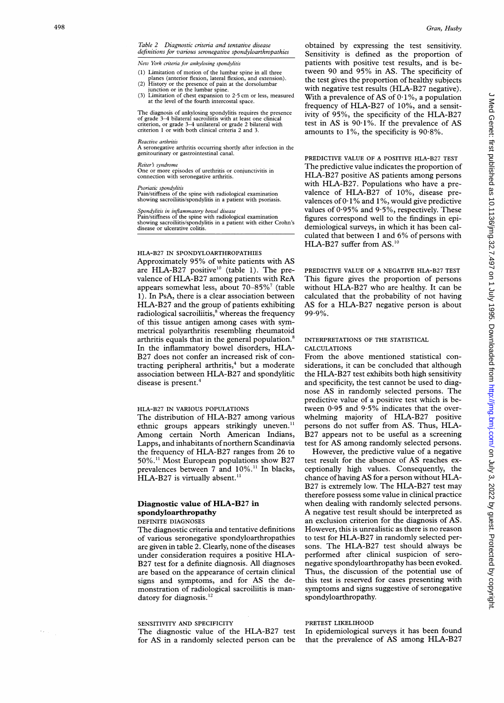$\sim 10^{-1}$ 

#### Table 2 Diagnostic criteria and tentative disease definitions for various seronegative spondyloarthropathies

New York criteria for ankylosing spondylitis

- (1) Limitation of motion of the lumbar spine in all three
- planes (anterior flexion, lateral flexion, and extension).<br>(2) History or the presence of pain at the dorsolumbar junction or in the lumbar spine.
- (3) Limitation of chest expansion to 2-5 cm or less, measured at the level of the fourth intercostal space.

The diagnosis of ankylosing spondylitis requires the presence of grade 3-4 bilateral sacroiliitis with at least one clinical criterion, or grade 3-4 unilateral or grade 2 bilateral with criterion <sup>1</sup> or with both clinical criteria 2 and 3.

Reactive arthritis<br>A seronegative arthritis occurring shortly after infection in the genitourinary or gastrointestinal canal.

Reiter's syndrome

One or more episodes of urethritis or conjunctivitis in connection with seronegative arthritis.

#### Psoriatic spondylitis

Pain/stiffness of the spine with radiological examination showing sacroiliitis/spondylitis in a patient with psoriasis.

Spondylitis in inflammatory bowel disease

Pain/stiffness of the spine with radiological examination showing sacroiliitis/spondylitis in a patient with either Crohn's disease or ulcerative colitis.

#### HLA-B27 IN SPONDYLOARTHROPATHIES

Approximately 95% of white patients with AS are HLA-B27 positive<sup>10</sup> (table 1). The prevalence of HLA-B27 among patients with ReA appears somewhat less, about  $70-85\%$ <sup>7</sup> (table 1). In PsA, there is a clear association between HLA-B27 and the group of patients exhibiting radiological sacroiliitis, $s$  whereas the frequency of this tissue antigen among cases with symmetrical polyarthritis resembling rheumatoid arthritis equals that in the general population.<sup>8</sup> In the inflammatory bowel disorders, HLA-B27 does not confer an increased risk of contracting peripheral arthritis,<sup>4</sup> but a moderate association between HLA-B27 and spondylitic disease is present.<sup>4</sup>

## HLA-B27 IN VARIOUS POPULATIONS

The distribution of HLA-B27 among various ethnic groups appears strikingly uneven.'' Among certain North American Indians, Lapps, and inhabitants of northern Scandinavia the frequency of HLA-B27 ranges from 26 to 50%.<sup>11</sup> Most European populations show B27 prevalences between 7 and 10%." In blacks, HLA-B27 is virtually absent.<sup>11</sup>

# Diagnostic value of HLA-B27 in spondyloarthropathy

# DEFINITE DIAGNOSES

The diagnostic criteria and tentative definitions of various seronegative spondyloarthropathies are given in table 2. Clearly, none of the diseases under consideration requires <sup>a</sup> positive HLA-B27 test for a definite diagnosis. All diagnoses are based on the appearance of certain clinical signs and symptoms, and for AS the demonstration of radiological sacroiliitis is mandatory for diagnosis. $^{12}$ 

#### SENSITIVITY AND SPECIFICITY

The diagnostic value of the HLA-B27 test for AS in a randomly selected person can be

obtained by expressing the test sensitivity. Sensitivity is defined as the proportion of patients with positive test results, and is between 90 and 95% in AS. The specificity of the test gives the proportion of healthy subjects with negative test results (HLA-B27 negative). With a prevalence of AS of  $0.1\%$ , a population frequency of HLA-B27 of 10%, and a sensitivity of 95%, the specificity of the HLA-B27 test in AS is  $90.1\%$ . If the prevalence of AS amounts to  $1\%$ , the specificity is  $90.8\%$ .

PREDICTIVE VALUE OF A POSITIVE HLA-B27 TEST The predictive value indicates the proportion of HLA-B27 positive AS patients among persons with HLA-B27. Populations who have a prevalence of HLA-B27 of 10%, disease prevalences of  $0.1\%$  and  $1\%$ , would give predictive values of 0 95% and 9 5%, respectively. These figures correspond well to the findings in epidemiological surveys, in which it has been calculated that between <sup>1</sup> and 6% of persons with HLA-B27 suffer from AS.'0

PREDICTIVE VALUE OF A NEGATIVE HLA-B27 TEST This figure gives the proportion of persons without HLA-B27 who are healthy. It can be calculated that the probability of not having AS for <sup>a</sup> HLA-B27 negative person is about 99.9%.

#### INTERPRETATIONS OF THE STATISTICAL CALCULATIONS

From the above mentioned statistical considerations, it can be concluded that although the HLA-B27 test exhibits both high sensitivity and specificity, the test cannot be used to diagnose AS in randomly selected persons. The predictive value of a positive test which is between  $0.95$  and  $9.5\%$  indicates that the overwhelming majority of HLA-B27 positive persons do not suffer from AS. Thus, HLA-B<sub>27</sub> appears not to be useful as a screening test for AS among randomly selected persons.

However, the predictive value of a negative test result for the absence of AS reaches exceptionally high values. Consequently, the chance of having AS for <sup>a</sup> person without HLA-B27 is extremely low. The HLA-B27 test may therefore possess some value in clinical practice when dealing with randomly selected persons. <sup>A</sup> negative test result should be interpreted as an exclusion criterion for the diagnosis of AS. However, this is unrealistic as there is no reason to test for HLA-B27 in randomly selected persons. The HLA-B27 test should always be performed after clinical suspicion of seronegative spondyloarthropathy has been evoked. Thus, the discussion of the potential use of this test is reserved for cases presenting with symptoms and signs suggestive of seronegative spondyloarthropathy.

# PRETEST LIKELIHOOD

In epidemiological surveys it has been found that the prevalence of AS among HLA-B27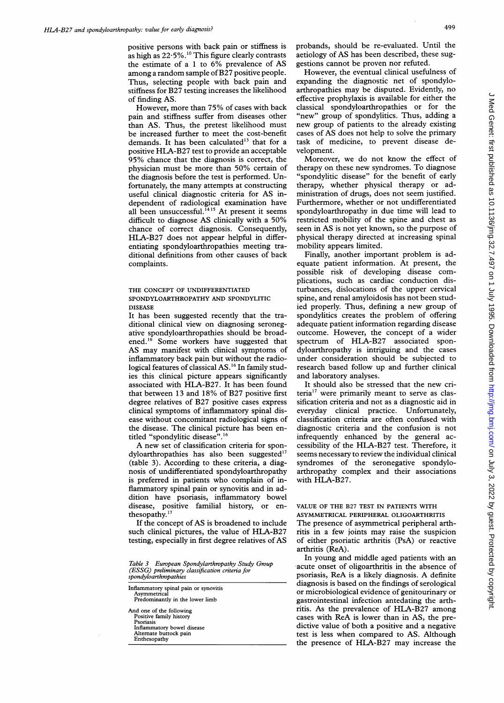positive persons with back pain or stiffness is as high as  $22.5\%$ .<sup>10</sup> This figure clearly contrasts the estimate of <sup>a</sup> <sup>1</sup> to 6% prevalence of AS among a random sample of B27 positive people. Thus, selecting people with back pain and stiffness for B27 testing increases the likelihood of finding AS.

However, more than 75% of cases with back pain and stiffness suffer from diseases other than AS. Thus, the pretest likelihood must be increased further to meet the cost-benefit demands. It has been calculated<sup>13</sup> that for a positive HLA-B27 test to provide an acceptable 95% chance that the diagnosis is correct, the physician must be more than 50% certain of the diagnosis before the test is performed. Unfortunately, the many attempts at constructing useful clinical diagnostic criteria for AS independent of radiological examination have all been unsuccessful.<sup>1415</sup> At present it seems difficult to diagnose AS clinically with <sup>a</sup> 50% chance of correct diagnosis. Consequently, HLA-B27 does not appear helpful in differentiating spondyloarthropathies meeting traditional definitions from other causes of back complaints.

# THE CONCEPT OF UNDIFFERENTIATED SPONDYLOARTHROPATHY AND SPONDYLITIC DISEASE

It has been suggested recently that the traditional clinical view on diagnosing seronegative spondyloarthropathies should be broadened.'6 Some workers have suggested that AS may manifest with clinical symptoms of inflammatory back pain but without the radiological features of classical AS.'6 In family studies this clinical picture appears significantly associated with HLA-B27. It has been found that between 13 and 18% of B27 positive first degree relatives of B27 positive cases express clinical symptoms of inflammatory spinal disease without concomitant radiological signs of the disease. The clinical picture has been entitled "spondylitic disease".'6

A new set of classification criteria for spondyloarthropathies has also been suggested'7 (table 3). According to these criteria, a diagnosis of undifferentiated spondyloarthropathy is preferred in patients who complain of inflammatory spinal pain or synovitis and in addition have psoriasis, inflammatory bowel disease, positive familial history, or enthesopathy.<sup>17</sup>

If the concept of AS is broadened to include such clinical pictures, the value of HLA-B27 testing, especially in first degree relatives of AS

| Table 3 European Spondylarthropathy Study Group |
|-------------------------------------------------|
| (ESSG) preliminary classification criteria for  |
| spondyloarthropathies                           |

| Inflammatory spinal pain or synovitis<br>Asymmetrical                                                                                    |  |
|------------------------------------------------------------------------------------------------------------------------------------------|--|
| Predominantly in the lower limb                                                                                                          |  |
| And one of the following<br>Positive family history<br>Psoriasis<br>Inflammatory bowel disease<br>Alternate buttock pain<br>Enthesopathy |  |

probands, should be re-evaluated. Until the aetiology of AS has been described, these suggestions cannot be proven nor refuted.

However, the eventual clinical usefulness of expanding the diagnostic net of spondyloarthropathies may be disputed. Evidently, no effective prophylaxis is available for either the classical spondyloarthropathies or for the "new" group of spondylitics. Thus, adding a new group of patients to the already existing cases of AS does not help to solve the primary task of medicine, to prevent disease development.

Moreover, we do not know the effect of therapy on these new syndromes. To diagnose "spondylitic disease" for the benefit of early therapy, whether physical therapy or administration of drugs, does not seem justified. Furthermore, whether or not undifferentiated spondyloarthropathy in due time will lead to restricted mobility of the spine and chest as seen in AS is not yet known, so the purpose of physical therapy directed at increasing spinal mobility appears limited.

Finally, another important problem is adequate patient information. At present, the possible risk of developing disease complications, such as cardiac conduction disturbances, dislocations of the upper cervical spine, and renal amyloidosis has not been studied properly. Thus, defining a new group of spondylitics creates the problem of offering adequate patient information regarding disease outcome. However, the concept of a wider spectrum of HLA-B27 associated spondyloarthropathy is intriguing and the cases under consideration should be subjected to research based follow up and further clinical and laboratory analyses.

It should also be stressed that the new criteria<sup>17</sup> were primarily meant to serve as classification criteria and not as a diagnostic aid in everyday clinical practice. Unfortunately, classification criteria are often confused with diagnostic criteria and the confusion is not infrequently enhanced by the general accessibility of the HLA-B27 test. Therefore, it seems necessary to review the individual clinical syndromes of the seronegative spondyloarthropathy complex and their associations with HLA-B27.

#### VALUE OF THE B27 TEST IN PATIENTS WITH ASYMMETRICAL PERIPHERAL OLIGOARTHRITIS

The presence of asymmetrical peripheral arthritis in <sup>a</sup> few joints may raise the suspicion of either psoriatic arthritis (PsA) or reactive arthritis (ReA).

In young and middle aged patients with an acute onset of oligoarthritis in the absence of psoriasis, ReA is <sup>a</sup> likely diagnosis. A definite diagnosis is based on the findings of serological or microbiological evidence of genitourinary or gastrointestinal infection antedating the arthritis. As the prevalence of HLA-B27 among cases with ReA is lower than in AS, the predictive value of both a positive and a negative test is less when compared to AS. Although the presence of HLA-B27 may increase the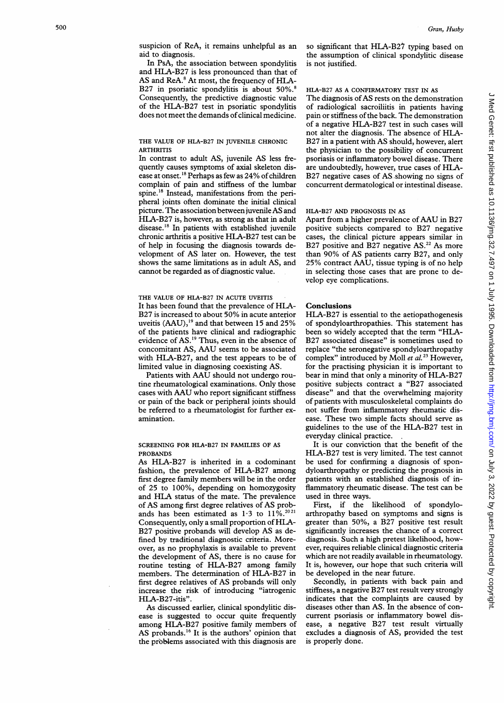suspicion of ReA, it remains unhelpful as an aid to diagnosis.

In PsA, the association between spondylitis and HLA-B27 is less pronounced than that of AS and ReA.<sup>8</sup> At most, the frequency of HLA-B27 in psoriatic spondylitis is about 50%.<sup>8</sup> Consequently, the predictive diagnostic value of the HLA-B27 test in psoriatic spondylitis does not meet the demands of clinical medicine.

# THE VALUE OF HLA-B27 IN JUVENILE CHRONIC **ARTHRITIS**

In contrast to adult AS, juvenile AS less frequently causes symptoms of axial skeleton disease at onset.<sup>18</sup> Perhaps as few as 24% of children complain of pain and stiffness of the lumbar spine.'8 Instead, manifestations from the peripheral joints often dominate the initial clinical picture. The association between juvenile AS and HLA-B27 is, however, as strong as that in adult disease.'8 In patients with established juvenile chronic arthritis <sup>a</sup> positive HLA-B27 test can be of help in focusing the diagnosis towards development of AS later on. However, the test shows the same limitations as in adult AS, and cannot be regarded as of diagnostic value.

THE VALUE OF HLA-B27 IN ACUTE UVEITIS It has been found that the prevalence of HLA-B27 is increased to about 50% in acute anterior uveitis (AAU),<sup>19</sup> and that between 15 and 25% of the patients have clinical and radiographic evidence of AS.'9 Thus, even in the absence of concomitant AS, AAU seems to be associated with HLA-B27, and the test appears to be of limited value in diagnosing coexisting AS.

Patients with AAU should not undergo routine rheumatological examinations. Only those cases with AAU who report significant stiffness or pain of the back or peripheral joints should be referred to a rheumatologist for further examination.

SCREENING FOR HLA-B27 IN FAMILIES OF AS PROBANDS

As HLA-B27 is inherited in a codominant fashion, the prevalence of HLA-B27 among first degree family members will be in the order of 25 to 100%, depending on homozygosity and HLA status of the mate. The prevalence of AS among first degree relatives of AS probands has been estimated as  $1.3$  to  $11\%$ .<sup>2021</sup> Consequently, only <sup>a</sup> small proportion of HLA-B27 positive probands will develop AS as defined by traditional diagnostic criteria. Moreover, as no prophylaxis is available to prevent the development of AS, there is no cause for routine testing of HLA-B27 among family members. The determination of HLA-B27 in first degree relatives of AS probands will only increase the risk of introducing "iatrogenic HLA-B27-itis".

As discussed earlier, clinical spondylitic disease is suggested to occur quite frequently among HLA-B27 positive family members of AS probands.'6 It is the authors' opinion that the problems associated with this diagnosis are so significant that HLA-B27 typing based on the assumption of clinical spondylitic disease is not justified.

#### HLA-B27 AS A CONFIRMATORY TEST IN AS

The diagnosis of AS rests on the demonstration of radiological sacroiliitis in patients having pain or stiffness of the back. The demonstration of <sup>a</sup> negative HLA-B27 test in such cases will not alter the diagnosis. The absence of HLA-B27 in <sup>a</sup> patient with AS should, however, alert the physician to the possibility of concurrent psoriasis or inflammatory bowel disease. There are undoubtedly, however, true cases of HLA-B27 negative cases of AS.showing no signs of concurrent dermatological or intestinal disease.

#### HLA-B27 AND PROGNOSIS IN AS

Apart from <sup>a</sup> higher prevalence of AAU in B27 positive subjects compared to B27 negative cases, the clinical picture appears similar in B27 positive and B27 negative  $AS.<sup>22</sup> As more$ than 90% of AS patients carry B27, and only 25% contract AAU, tissue typing is of no help in selecting those cases that are prone to develop eye complications.

#### Conclusions

HLA-B27 is essential to the aetiopathogenesis of spondyloarthropathies. This statement has been so widely accepted that the term "HLA-B27 associated disease" is sometimes used to replace "the seronegative spondyloarthropathy complex" introduced by Moll et al.<sup>23</sup> However, for the practising physician it is important to bear in mind that only <sup>a</sup> minority of HLA-B27 positive subjects contract a "B27 associated disease" and that the overwhelming majority of patients with musculoskeletal complaints do not suffer from inflammatory rheumatic disease. These two simple facts should serve as guidelines to the use of the HLA-B27 test in everyday clinical practice.

It is our conviction that the benefit of the HLA-B27 test is very limited. The test cannot be used for confirming a diagnosis of spondyloarthropathy or predicting the prognosis in patients with an established diagnosis of inflammatory rheumatic disease. The test can be used in three ways.

First, if the likelihood of spondyloarthropathy based on symptoms and signs is greater than 50%, a B27 positive test result significantly increases the chance of a correct diagnosis. Such a high pretest likelihood, however, requires reliable clinical diagnostic criteria which are not readily available in rheumatology. It is, however, our hope that such criteria will be developed in the near future.

Secondly, in patients with back pain and stiffness, a negative B27 test result very strongly indicates that the complaints are caused by diseases other than AS. In the absence of concurrent psoriasis or inflammatory bowel disease, a negative B27 test result virtually excludes a diagnosis of AS, provided the test is properly done.